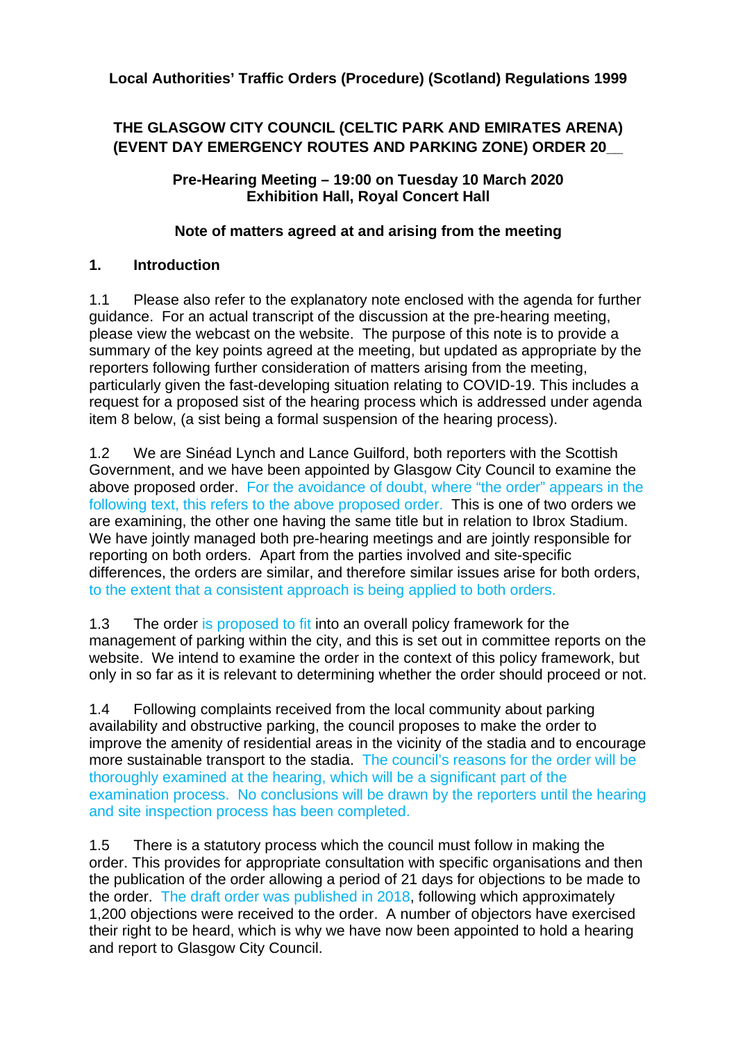# **THE GLASGOW CITY COUNCIL (CELTIC PARK AND EMIRATES ARENA) (EVENT DAY EMERGENCY ROUTES AND PARKING ZONE) ORDER 20\_\_**

### **Pre-Hearing Meeting – 19:00 on Tuesday 10 March 2020 Exhibition Hall, Royal Concert Hall**

## **Note of matters agreed at and arising from the meeting**

# **1. Introduction**

1.1 Please also refer to the explanatory note enclosed with the agenda for further guidance. For an actual transcript of the discussion at the pre-hearing meeting, please view the webcast on the website. The purpose of this note is to provide a summary of the key points agreed at the meeting, but updated as appropriate by the reporters following further consideration of matters arising from the meeting, particularly given the fast-developing situation relating to COVID-19. This includes a request for a proposed sist of the hearing process which is addressed under agenda item 8 below, (a sist being a formal suspension of the hearing process).

1.2 We are Sinéad Lynch and Lance Guilford, both reporters with the Scottish Government, and we have been appointed by Glasgow City Council to examine the above proposed order. For the avoidance of doubt, where "the order" appears in the following text, this refers to the above proposed order. This is one of two orders we are examining, the other one having the same title but in relation to Ibrox Stadium. We have jointly managed both pre-hearing meetings and are jointly responsible for reporting on both orders. Apart from the parties involved and site-specific differences, the orders are similar, and therefore similar issues arise for both orders, to the extent that a consistent approach is being applied to both orders.

1.3 The order is proposed to fit into an overall policy framework for the management of parking within the city, and this is set out in committee reports on the website. We intend to examine the order in the context of this policy framework, but only in so far as it is relevant to determining whether the order should proceed or not.

1.4 Following complaints received from the local community about parking availability and obstructive parking, the council proposes to make the order to improve the amenity of residential areas in the vicinity of the stadia and to encourage more sustainable transport to the stadia. The council's reasons for the order will be thoroughly examined at the hearing, which will be a significant part of the examination process. No conclusions will be drawn by the reporters until the hearing and site inspection process has been completed.

1.5 There is a statutory process which the council must follow in making the order. This provides for appropriate consultation with specific organisations and then the publication of the order allowing a period of 21 days for objections to be made to the order. The draft order was published in 2018, following which approximately 1,200 objections were received to the order. A number of objectors have exercised their right to be heard, which is why we have now been appointed to hold a hearing and report to Glasgow City Council.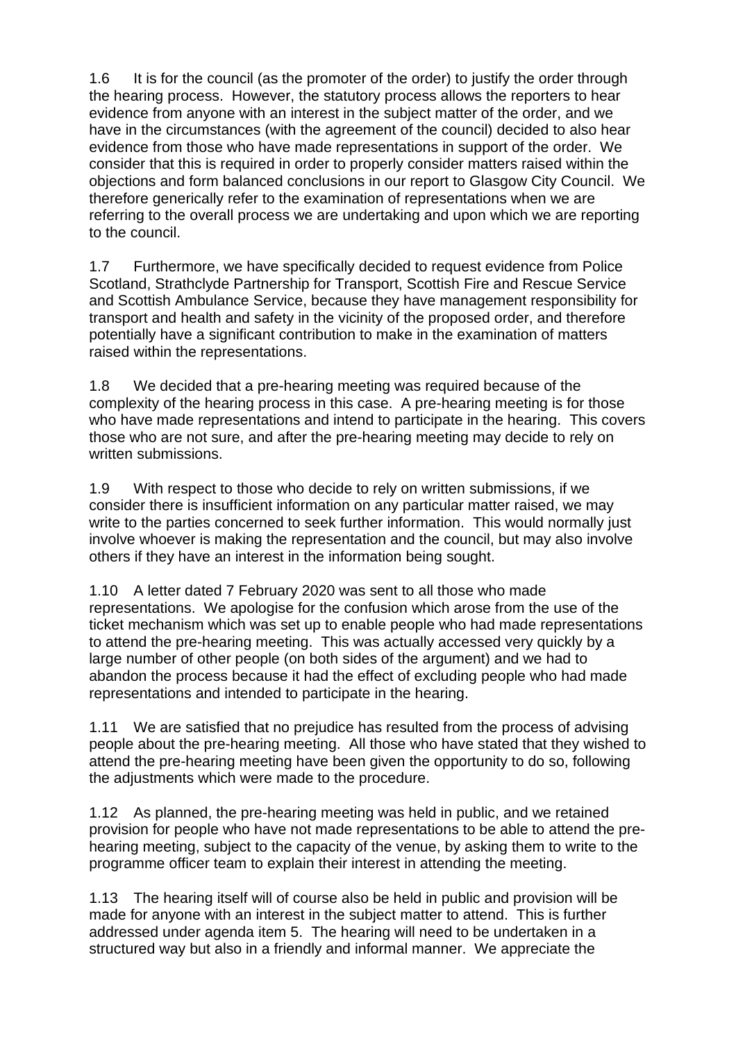1.6 It is for the council (as the promoter of the order) to justify the order through the hearing process. However, the statutory process allows the reporters to hear evidence from anyone with an interest in the subject matter of the order, and we have in the circumstances (with the agreement of the council) decided to also hear evidence from those who have made representations in support of the order. We consider that this is required in order to properly consider matters raised within the objections and form balanced conclusions in our report to Glasgow City Council. We therefore generically refer to the examination of representations when we are referring to the overall process we are undertaking and upon which we are reporting to the council.

1.7 Furthermore, we have specifically decided to request evidence from Police Scotland, Strathclyde Partnership for Transport, Scottish Fire and Rescue Service and Scottish Ambulance Service, because they have management responsibility for transport and health and safety in the vicinity of the proposed order, and therefore potentially have a significant contribution to make in the examination of matters raised within the representations.

1.8 We decided that a pre-hearing meeting was required because of the complexity of the hearing process in this case. A pre-hearing meeting is for those who have made representations and intend to participate in the hearing. This covers those who are not sure, and after the pre-hearing meeting may decide to rely on written submissions.

1.9 With respect to those who decide to rely on written submissions, if we consider there is insufficient information on any particular matter raised, we may write to the parties concerned to seek further information. This would normally just involve whoever is making the representation and the council, but may also involve others if they have an interest in the information being sought.

1.10 A letter dated 7 February 2020 was sent to all those who made representations. We apologise for the confusion which arose from the use of the ticket mechanism which was set up to enable people who had made representations to attend the pre-hearing meeting. This was actually accessed very quickly by a large number of other people (on both sides of the argument) and we had to abandon the process because it had the effect of excluding people who had made representations and intended to participate in the hearing.

1.11 We are satisfied that no prejudice has resulted from the process of advising people about the pre-hearing meeting. All those who have stated that they wished to attend the pre-hearing meeting have been given the opportunity to do so, following the adjustments which were made to the procedure.

1.12 As planned, the pre-hearing meeting was held in public, and we retained provision for people who have not made representations to be able to attend the prehearing meeting, subject to the capacity of the venue, by asking them to write to the programme officer team to explain their interest in attending the meeting.

1.13 The hearing itself will of course also be held in public and provision will be made for anyone with an interest in the subject matter to attend. This is further addressed under agenda item 5. The hearing will need to be undertaken in a structured way but also in a friendly and informal manner. We appreciate the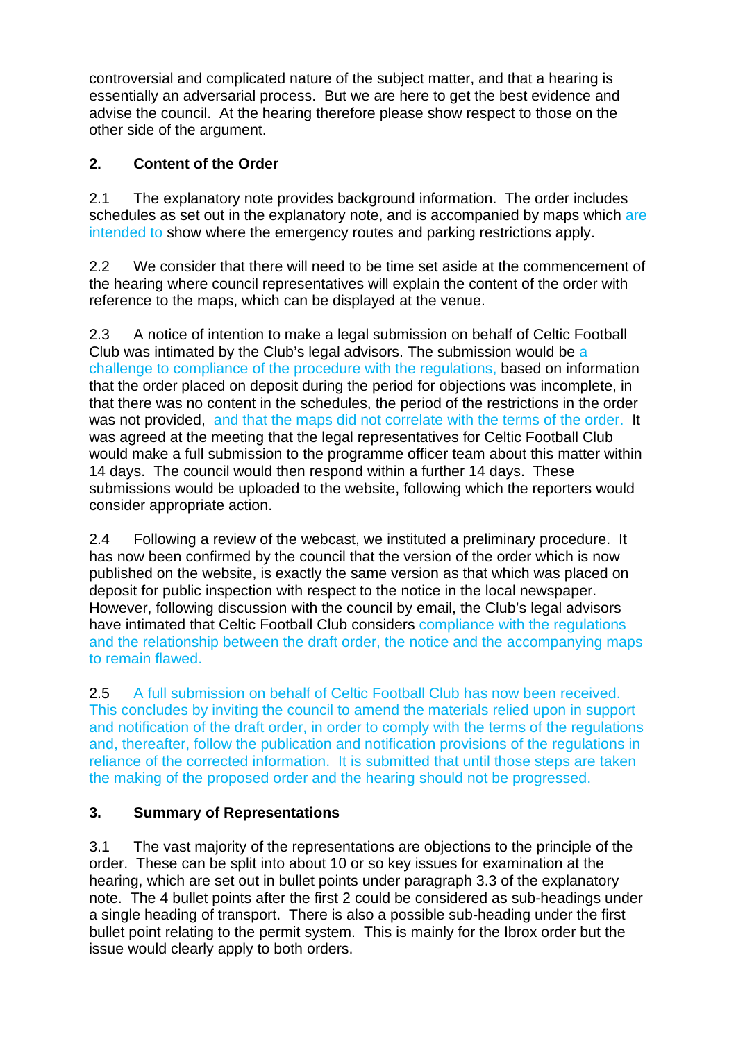controversial and complicated nature of the subject matter, and that a hearing is essentially an adversarial process. But we are here to get the best evidence and advise the council. At the hearing therefore please show respect to those on the other side of the argument.

## **2. Content of the Order**

2.1 The explanatory note provides background information. The order includes schedules as set out in the explanatory note, and is accompanied by maps which are intended to show where the emergency routes and parking restrictions apply.

2.2 We consider that there will need to be time set aside at the commencement of the hearing where council representatives will explain the content of the order with reference to the maps, which can be displayed at the venue.

2.3 A notice of intention to make a legal submission on behalf of Celtic Football Club was intimated by the Club's legal advisors. The submission would be a challenge to compliance of the procedure with the regulations, based on information that the order placed on deposit during the period for objections was incomplete, in that there was no content in the schedules, the period of the restrictions in the order was not provided, and that the maps did not correlate with the terms of the order. It was agreed at the meeting that the legal representatives for Celtic Football Club would make a full submission to the programme officer team about this matter within 14 days. The council would then respond within a further 14 days. These submissions would be uploaded to the website, following which the reporters would consider appropriate action.

2.4 Following a review of the webcast, we instituted a preliminary procedure. It has now been confirmed by the council that the version of the order which is now published on the website, is exactly the same version as that which was placed on deposit for public inspection with respect to the notice in the local newspaper. However, following discussion with the council by email, the Club's legal advisors have intimated that Celtic Football Club considers compliance with the regulations and the relationship between the draft order, the notice and the accompanying maps to remain flawed.

2.5 A full submission on behalf of Celtic Football Club has now been received. This concludes by inviting the council to amend the materials relied upon in support and notification of the draft order, in order to comply with the terms of the regulations and, thereafter, follow the publication and notification provisions of the regulations in reliance of the corrected information. It is submitted that until those steps are taken the making of the proposed order and the hearing should not be progressed.

# **3. Summary of Representations**

3.1 The vast majority of the representations are objections to the principle of the order. These can be split into about 10 or so key issues for examination at the hearing, which are set out in bullet points under paragraph 3.3 of the explanatory note. The 4 bullet points after the first 2 could be considered as sub-headings under a single heading of transport. There is also a possible sub-heading under the first bullet point relating to the permit system. This is mainly for the Ibrox order but the issue would clearly apply to both orders.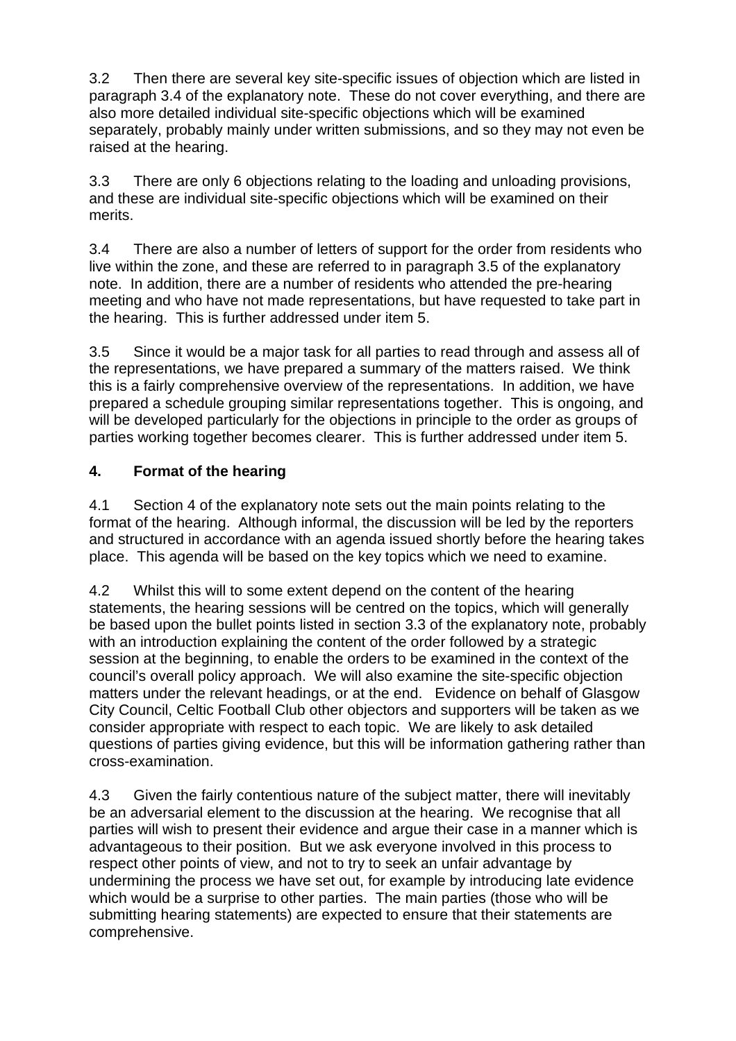3.2 Then there are several key site-specific issues of objection which are listed in paragraph 3.4 of the explanatory note. These do not cover everything, and there are also more detailed individual site-specific objections which will be examined separately, probably mainly under written submissions, and so they may not even be raised at the hearing.

3.3 There are only 6 objections relating to the loading and unloading provisions, and these are individual site-specific objections which will be examined on their merits.

3.4 There are also a number of letters of support for the order from residents who live within the zone, and these are referred to in paragraph 3.5 of the explanatory note. In addition, there are a number of residents who attended the pre-hearing meeting and who have not made representations, but have requested to take part in the hearing. This is further addressed under item 5.

3.5 Since it would be a major task for all parties to read through and assess all of the representations, we have prepared a summary of the matters raised. We think this is a fairly comprehensive overview of the representations. In addition, we have prepared a schedule grouping similar representations together. This is ongoing, and will be developed particularly for the objections in principle to the order as groups of parties working together becomes clearer. This is further addressed under item 5.

## **4. Format of the hearing**

4.1 Section 4 of the explanatory note sets out the main points relating to the format of the hearing. Although informal, the discussion will be led by the reporters and structured in accordance with an agenda issued shortly before the hearing takes place. This agenda will be based on the key topics which we need to examine.

4.2 Whilst this will to some extent depend on the content of the hearing statements, the hearing sessions will be centred on the topics, which will generally be based upon the bullet points listed in section 3.3 of the explanatory note, probably with an introduction explaining the content of the order followed by a strategic session at the beginning, to enable the orders to be examined in the context of the council's overall policy approach. We will also examine the site-specific objection matters under the relevant headings, or at the end. Evidence on behalf of Glasgow City Council, Celtic Football Club other objectors and supporters will be taken as we consider appropriate with respect to each topic. We are likely to ask detailed questions of parties giving evidence, but this will be information gathering rather than cross-examination.

4.3 Given the fairly contentious nature of the subject matter, there will inevitably be an adversarial element to the discussion at the hearing. We recognise that all parties will wish to present their evidence and argue their case in a manner which is advantageous to their position. But we ask everyone involved in this process to respect other points of view, and not to try to seek an unfair advantage by undermining the process we have set out, for example by introducing late evidence which would be a surprise to other parties. The main parties (those who will be submitting hearing statements) are expected to ensure that their statements are comprehensive.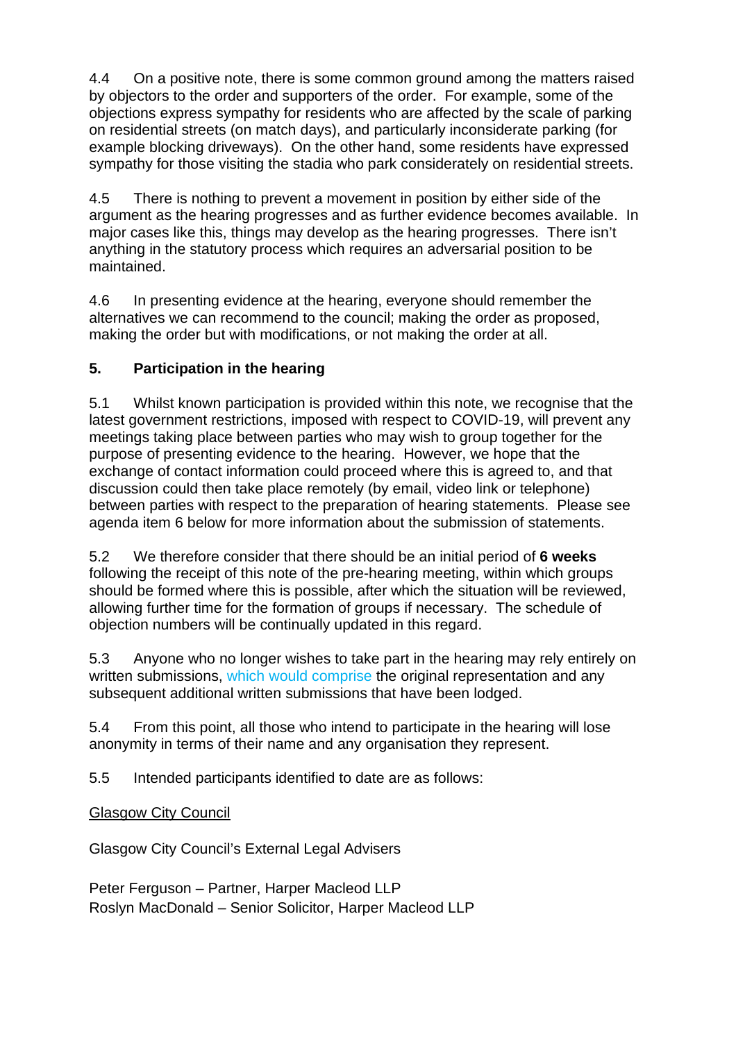4.4 On a positive note, there is some common ground among the matters raised by objectors to the order and supporters of the order. For example, some of the objections express sympathy for residents who are affected by the scale of parking on residential streets (on match days), and particularly inconsiderate parking (for example blocking driveways). On the other hand, some residents have expressed sympathy for those visiting the stadia who park considerately on residential streets.

4.5 There is nothing to prevent a movement in position by either side of the argument as the hearing progresses and as further evidence becomes available. In major cases like this, things may develop as the hearing progresses. There isn't anything in the statutory process which requires an adversarial position to be maintained.

4.6 In presenting evidence at the hearing, everyone should remember the alternatives we can recommend to the council; making the order as proposed, making the order but with modifications, or not making the order at all.

# **5. Participation in the hearing**

5.1 Whilst known participation is provided within this note, we recognise that the latest government restrictions, imposed with respect to COVID-19, will prevent any meetings taking place between parties who may wish to group together for the purpose of presenting evidence to the hearing. However, we hope that the exchange of contact information could proceed where this is agreed to, and that discussion could then take place remotely (by email, video link or telephone) between parties with respect to the preparation of hearing statements. Please see agenda item 6 below for more information about the submission of statements.

5.2 We therefore consider that there should be an initial period of **6 weeks**  following the receipt of this note of the pre-hearing meeting, within which groups should be formed where this is possible, after which the situation will be reviewed, allowing further time for the formation of groups if necessary. The schedule of objection numbers will be continually updated in this regard.

5.3 Anyone who no longer wishes to take part in the hearing may rely entirely on written submissions, which would comprise the original representation and any subsequent additional written submissions that have been lodged.

5.4 From this point, all those who intend to participate in the hearing will lose anonymity in terms of their name and any organisation they represent.

5.5 Intended participants identified to date are as follows:

# Glasgow City Council

Glasgow City Council's External Legal Advisers

Peter Ferguson – Partner, Harper Macleod LLP Roslyn MacDonald – Senior Solicitor, Harper Macleod LLP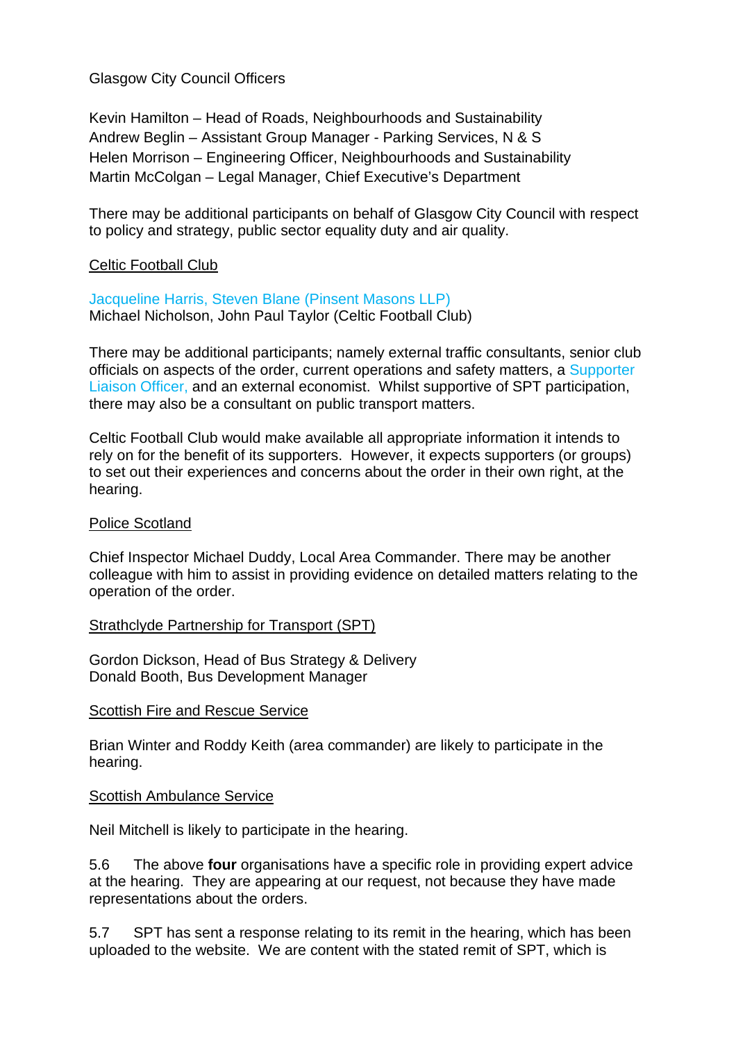Glasgow City Council Officers

Kevin Hamilton – Head of Roads, Neighbourhoods and Sustainability Andrew Beglin – Assistant Group Manager - Parking Services, N & S Helen Morrison – Engineering Officer, Neighbourhoods and Sustainability Martin McColgan – Legal Manager, Chief Executive's Department

There may be additional participants on behalf of Glasgow City Council with respect to policy and strategy, public sector equality duty and air quality.

#### Celtic Football Club

Jacqueline Harris, Steven Blane (Pinsent Masons LLP) Michael Nicholson, John Paul Taylor (Celtic Football Club)

There may be additional participants; namely external traffic consultants, senior club officials on aspects of the order, current operations and safety matters, a Supporter Liaison Officer, and an external economist. Whilst supportive of SPT participation, there may also be a consultant on public transport matters.

Celtic Football Club would make available all appropriate information it intends to rely on for the benefit of its supporters. However, it expects supporters (or groups) to set out their experiences and concerns about the order in their own right, at the hearing.

#### Police Scotland

Chief Inspector Michael Duddy, Local Area Commander. There may be another colleague with him to assist in providing evidence on detailed matters relating to the operation of the order.

#### Strathclyde Partnership for Transport (SPT)

Gordon Dickson, Head of Bus Strategy & Delivery Donald Booth, Bus Development Manager

#### Scottish Fire and Rescue Service

Brian Winter and Roddy Keith (area commander) are likely to participate in the hearing.

#### Scottish Ambulance Service

Neil Mitchell is likely to participate in the hearing.

5.6 The above **four** organisations have a specific role in providing expert advice at the hearing. They are appearing at our request, not because they have made representations about the orders.

5.7 SPT has sent a response relating to its remit in the hearing, which has been uploaded to the website. We are content with the stated remit of SPT, which is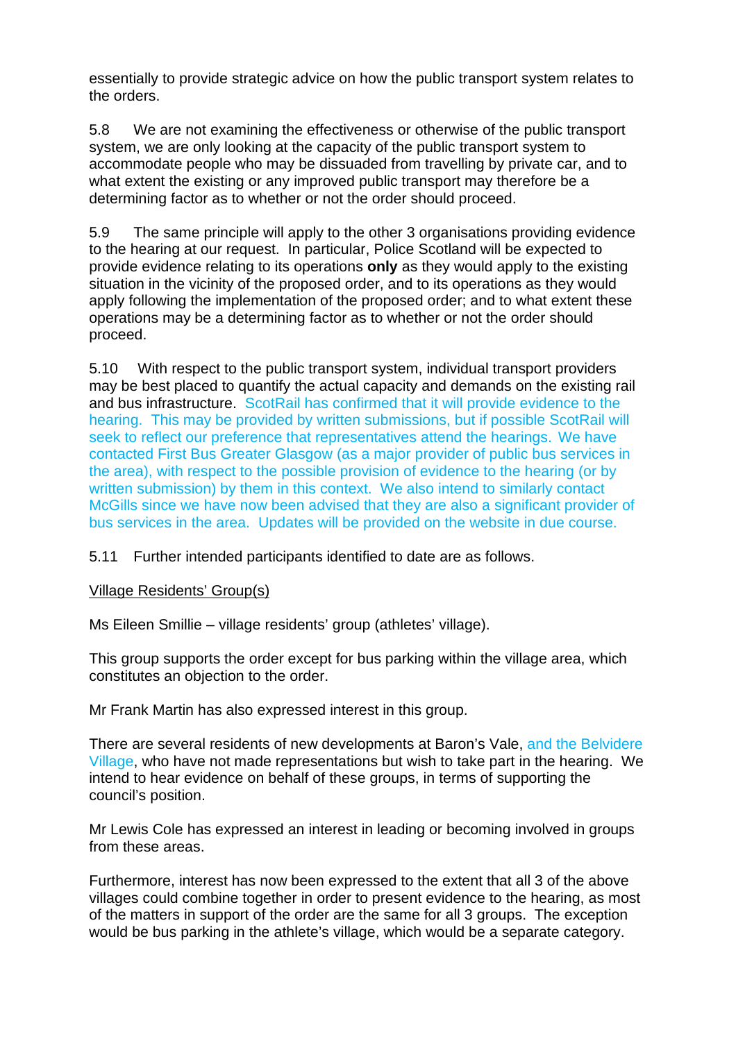essentially to provide strategic advice on how the public transport system relates to the orders.

5.8 We are not examining the effectiveness or otherwise of the public transport system, we are only looking at the capacity of the public transport system to accommodate people who may be dissuaded from travelling by private car, and to what extent the existing or any improved public transport may therefore be a determining factor as to whether or not the order should proceed.

5.9 The same principle will apply to the other 3 organisations providing evidence to the hearing at our request. In particular, Police Scotland will be expected to provide evidence relating to its operations **only** as they would apply to the existing situation in the vicinity of the proposed order, and to its operations as they would apply following the implementation of the proposed order; and to what extent these operations may be a determining factor as to whether or not the order should proceed.

5.10 With respect to the public transport system, individual transport providers may be best placed to quantify the actual capacity and demands on the existing rail and bus infrastructure. ScotRail has confirmed that it will provide evidence to the hearing. This may be provided by written submissions, but if possible ScotRail will seek to reflect our preference that representatives attend the hearings. We have contacted First Bus Greater Glasgow (as a major provider of public bus services in the area), with respect to the possible provision of evidence to the hearing (or by written submission) by them in this context. We also intend to similarly contact McGills since we have now been advised that they are also a significant provider of bus services in the area. Updates will be provided on the website in due course.

5.11 Further intended participants identified to date are as follows.

## Village Residents' Group(s)

Ms Eileen Smillie – village residents' group (athletes' village).

This group supports the order except for bus parking within the village area, which constitutes an objection to the order.

Mr Frank Martin has also expressed interest in this group.

There are several residents of new developments at Baron's Vale, and the Belvidere Village, who have not made representations but wish to take part in the hearing. We intend to hear evidence on behalf of these groups, in terms of supporting the council's position.

Mr Lewis Cole has expressed an interest in leading or becoming involved in groups from these areas.

Furthermore, interest has now been expressed to the extent that all 3 of the above villages could combine together in order to present evidence to the hearing, as most of the matters in support of the order are the same for all 3 groups. The exception would be bus parking in the athlete's village, which would be a separate category.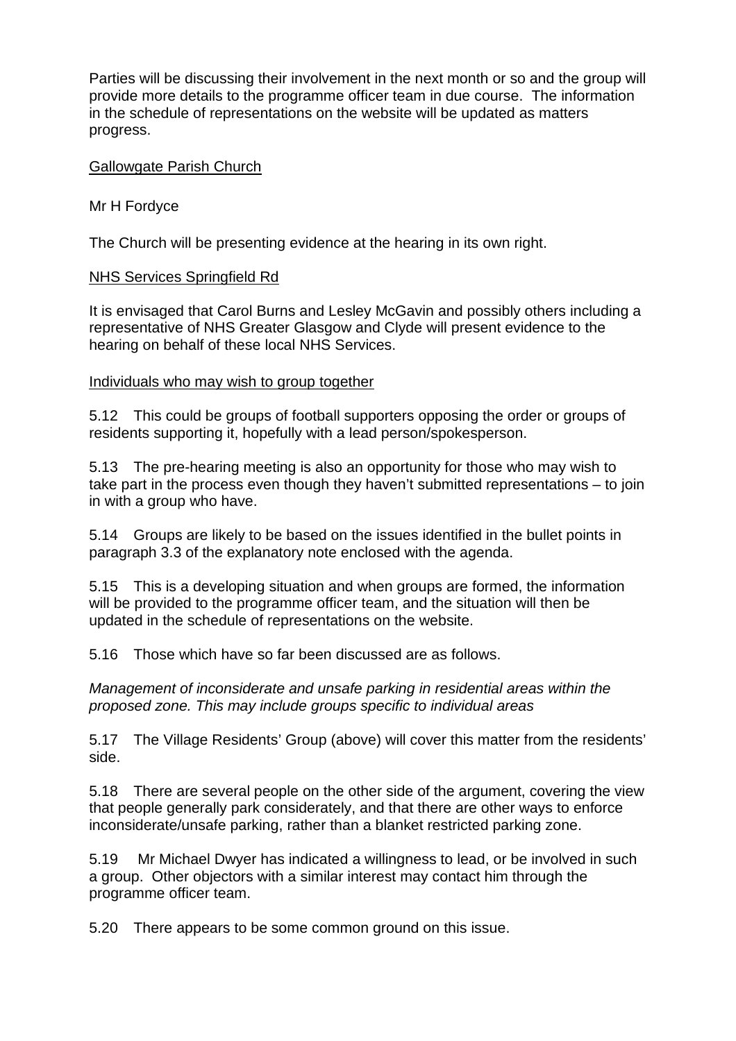Parties will be discussing their involvement in the next month or so and the group will provide more details to the programme officer team in due course. The information in the schedule of representations on the website will be updated as matters progress.

#### Gallowgate Parish Church

Mr H Fordyce

The Church will be presenting evidence at the hearing in its own right.

### NHS Services Springfield Rd

It is envisaged that Carol Burns and Lesley McGavin and possibly others including a representative of NHS Greater Glasgow and Clyde will present evidence to the hearing on behalf of these local NHS Services.

#### Individuals who may wish to group together

5.12 This could be groups of football supporters opposing the order or groups of residents supporting it, hopefully with a lead person/spokesperson.

5.13 The pre-hearing meeting is also an opportunity for those who may wish to take part in the process even though they haven't submitted representations – to join in with a group who have.

5.14 Groups are likely to be based on the issues identified in the bullet points in paragraph 3.3 of the explanatory note enclosed with the agenda.

5.15 This is a developing situation and when groups are formed, the information will be provided to the programme officer team, and the situation will then be updated in the schedule of representations on the website.

5.16 Those which have so far been discussed are as follows.

Management of inconsiderate and unsafe parking in residential areas within the proposed zone. This may include groups specific to individual areas

5.17 The Village Residents' Group (above) will cover this matter from the residents' side.

5.18 There are several people on the other side of the argument, covering the view that people generally park considerately, and that there are other ways to enforce inconsiderate/unsafe parking, rather than a blanket restricted parking zone.

5.19 Mr Michael Dwyer has indicated a willingness to lead, or be involved in such a group. Other objectors with a similar interest may contact him through the programme officer team.

5.20 There appears to be some common ground on this issue.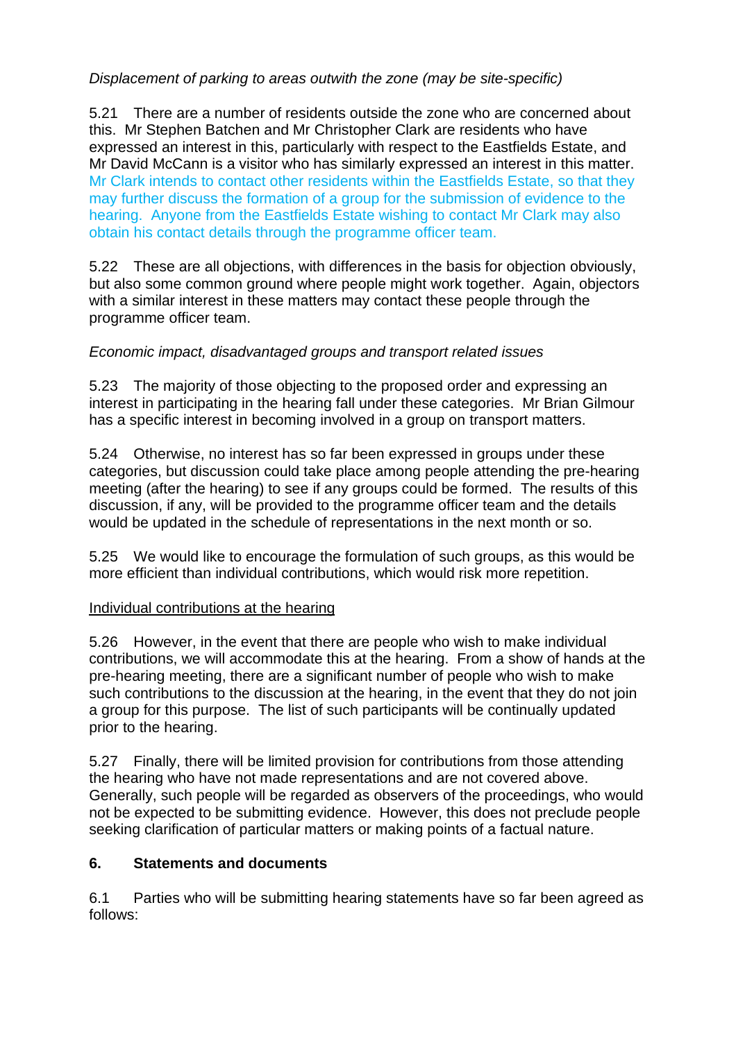## Displacement of parking to areas outwith the zone (may be site-specific)

5.21 There are a number of residents outside the zone who are concerned about this. Mr Stephen Batchen and Mr Christopher Clark are residents who have expressed an interest in this, particularly with respect to the Eastfields Estate, and Mr David McCann is a visitor who has similarly expressed an interest in this matter. Mr Clark intends to contact other residents within the Eastfields Estate, so that they may further discuss the formation of a group for the submission of evidence to the hearing. Anyone from the Eastfields Estate wishing to contact Mr Clark may also obtain his contact details through the programme officer team.

5.22 These are all objections, with differences in the basis for objection obviously, but also some common ground where people might work together. Again, objectors with a similar interest in these matters may contact these people through the programme officer team.

## Economic impact, disadvantaged groups and transport related issues

5.23 The majority of those objecting to the proposed order and expressing an interest in participating in the hearing fall under these categories. Mr Brian Gilmour has a specific interest in becoming involved in a group on transport matters.

5.24 Otherwise, no interest has so far been expressed in groups under these categories, but discussion could take place among people attending the pre-hearing meeting (after the hearing) to see if any groups could be formed. The results of this discussion, if any, will be provided to the programme officer team and the details would be updated in the schedule of representations in the next month or so.

5.25 We would like to encourage the formulation of such groups, as this would be more efficient than individual contributions, which would risk more repetition.

#### Individual contributions at the hearing

5.26 However, in the event that there are people who wish to make individual contributions, we will accommodate this at the hearing. From a show of hands at the pre-hearing meeting, there are a significant number of people who wish to make such contributions to the discussion at the hearing, in the event that they do not join a group for this purpose. The list of such participants will be continually updated prior to the hearing.

5.27 Finally, there will be limited provision for contributions from those attending the hearing who have not made representations and are not covered above. Generally, such people will be regarded as observers of the proceedings, who would not be expected to be submitting evidence. However, this does not preclude people seeking clarification of particular matters or making points of a factual nature.

## **6. Statements and documents**

6.1 Parties who will be submitting hearing statements have so far been agreed as follows: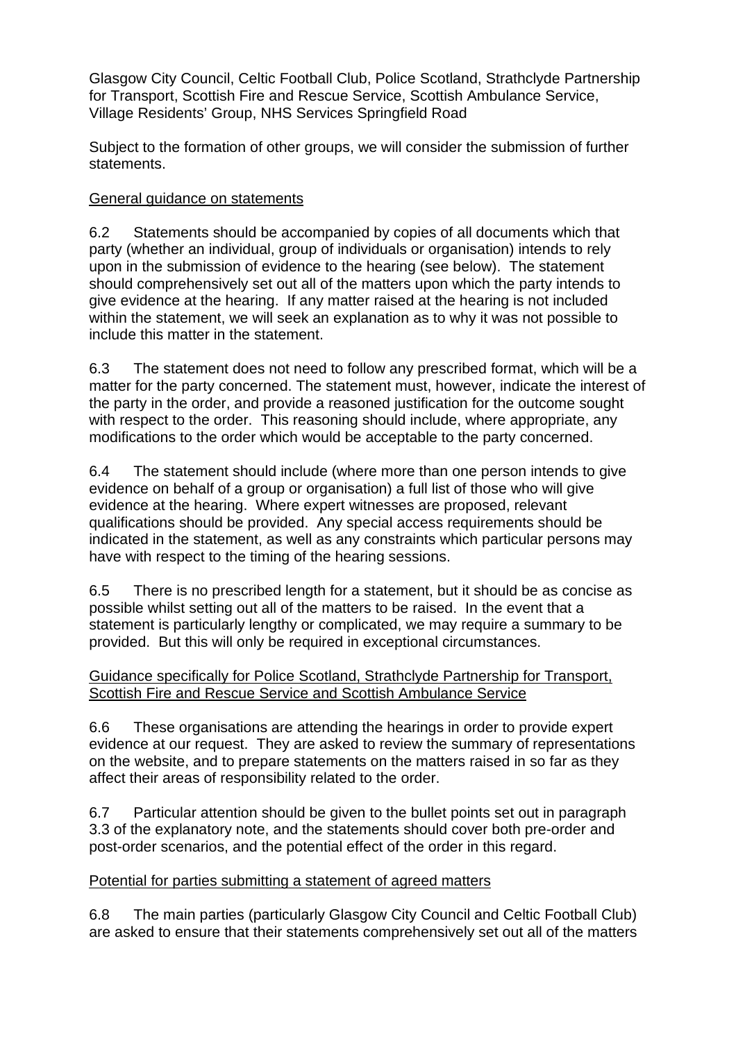Glasgow City Council, Celtic Football Club, Police Scotland, Strathclyde Partnership for Transport, Scottish Fire and Rescue Service, Scottish Ambulance Service, Village Residents' Group, NHS Services Springfield Road

Subject to the formation of other groups, we will consider the submission of further statements.

## General guidance on statements

6.2 Statements should be accompanied by copies of all documents which that party (whether an individual, group of individuals or organisation) intends to rely upon in the submission of evidence to the hearing (see below). The statement should comprehensively set out all of the matters upon which the party intends to give evidence at the hearing. If any matter raised at the hearing is not included within the statement, we will seek an explanation as to why it was not possible to include this matter in the statement.

6.3 The statement does not need to follow any prescribed format, which will be a matter for the party concerned. The statement must, however, indicate the interest of the party in the order, and provide a reasoned justification for the outcome sought with respect to the order. This reasoning should include, where appropriate, any modifications to the order which would be acceptable to the party concerned.

6.4 The statement should include (where more than one person intends to give evidence on behalf of a group or organisation) a full list of those who will give evidence at the hearing. Where expert witnesses are proposed, relevant qualifications should be provided. Any special access requirements should be indicated in the statement, as well as any constraints which particular persons may have with respect to the timing of the hearing sessions.

6.5 There is no prescribed length for a statement, but it should be as concise as possible whilst setting out all of the matters to be raised. In the event that a statement is particularly lengthy or complicated, we may require a summary to be provided. But this will only be required in exceptional circumstances.

### Guidance specifically for Police Scotland, Strathclyde Partnership for Transport, Scottish Fire and Rescue Service and Scottish Ambulance Service

6.6 These organisations are attending the hearings in order to provide expert evidence at our request. They are asked to review the summary of representations on the website, and to prepare statements on the matters raised in so far as they affect their areas of responsibility related to the order.

6.7 Particular attention should be given to the bullet points set out in paragraph 3.3 of the explanatory note, and the statements should cover both pre-order and post-order scenarios, and the potential effect of the order in this regard.

## Potential for parties submitting a statement of agreed matters

6.8 The main parties (particularly Glasgow City Council and Celtic Football Club) are asked to ensure that their statements comprehensively set out all of the matters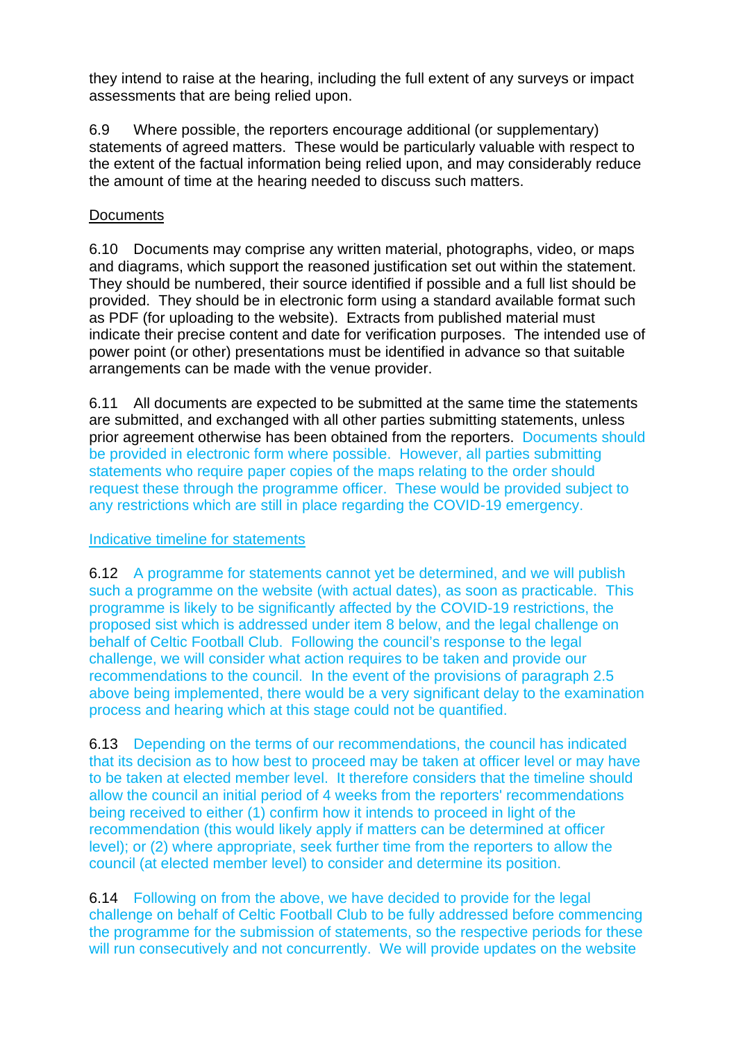they intend to raise at the hearing, including the full extent of any surveys or impact assessments that are being relied upon.

6.9 Where possible, the reporters encourage additional (or supplementary) statements of agreed matters. These would be particularly valuable with respect to the extent of the factual information being relied upon, and may considerably reduce the amount of time at the hearing needed to discuss such matters.

## **Documents**

6.10 Documents may comprise any written material, photographs, video, or maps and diagrams, which support the reasoned justification set out within the statement. They should be numbered, their source identified if possible and a full list should be provided. They should be in electronic form using a standard available format such as PDF (for uploading to the website). Extracts from published material must indicate their precise content and date for verification purposes. The intended use of power point (or other) presentations must be identified in advance so that suitable arrangements can be made with the venue provider.

6.11 All documents are expected to be submitted at the same time the statements are submitted, and exchanged with all other parties submitting statements, unless prior agreement otherwise has been obtained from the reporters. Documents should be provided in electronic form where possible. However, all parties submitting statements who require paper copies of the maps relating to the order should request these through the programme officer. These would be provided subject to any restrictions which are still in place regarding the COVID-19 emergency.

## Indicative timeline for statements

6.12 A programme for statements cannot yet be determined, and we will publish such a programme on the website (with actual dates), as soon as practicable. This programme is likely to be significantly affected by the COVID-19 restrictions, the proposed sist which is addressed under item 8 below, and the legal challenge on behalf of Celtic Football Club. Following the council's response to the legal challenge, we will consider what action requires to be taken and provide our recommendations to the council. In the event of the provisions of paragraph 2.5 above being implemented, there would be a very significant delay to the examination process and hearing which at this stage could not be quantified.

6.13 Depending on the terms of our recommendations, the council has indicated that its decision as to how best to proceed may be taken at officer level or may have to be taken at elected member level. It therefore considers that the timeline should allow the council an initial period of 4 weeks from the reporters' recommendations being received to either (1) confirm how it intends to proceed in light of the recommendation (this would likely apply if matters can be determined at officer level); or (2) where appropriate, seek further time from the reporters to allow the council (at elected member level) to consider and determine its position.

6.14 Following on from the above, we have decided to provide for the legal challenge on behalf of Celtic Football Club to be fully addressed before commencing the programme for the submission of statements, so the respective periods for these will run consecutively and not concurrently. We will provide updates on the website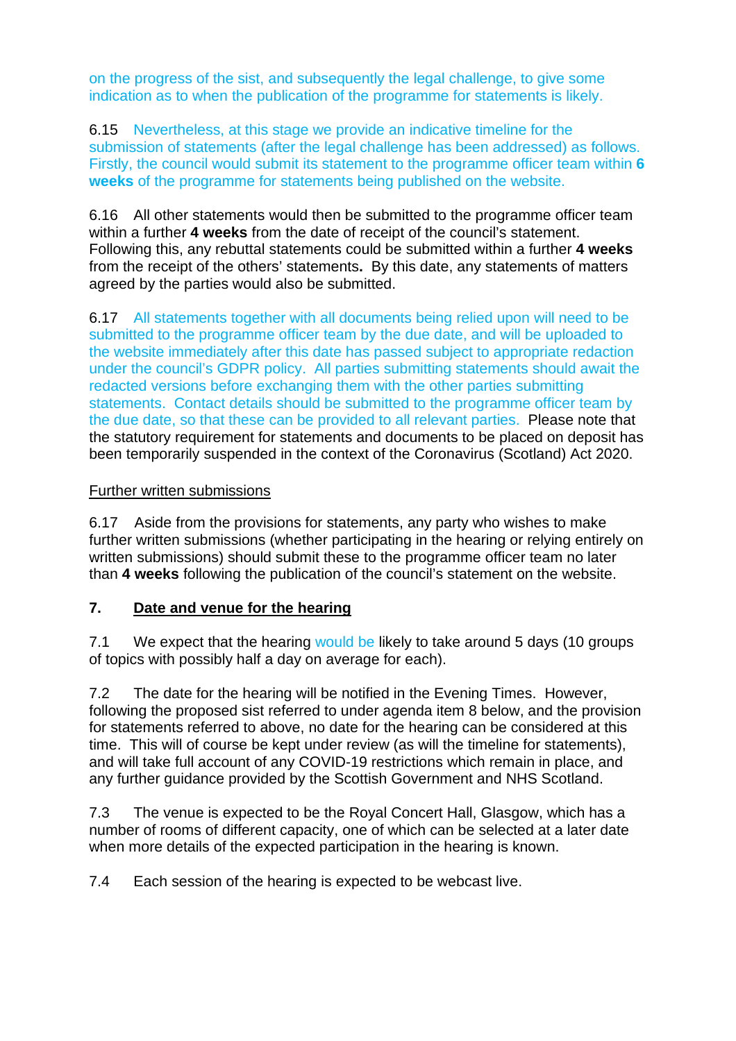on the progress of the sist, and subsequently the legal challenge, to give some indication as to when the publication of the programme for statements is likely.

6.15 Nevertheless, at this stage we provide an indicative timeline for the submission of statements (after the legal challenge has been addressed) as follows. Firstly, the council would submit its statement to the programme officer team within **6 weeks** of the programme for statements being published on the website.

6.16 All other statements would then be submitted to the programme officer team within a further **4 weeks** from the date of receipt of the council's statement. Following this, any rebuttal statements could be submitted within a further **4 weeks**  from the receipt of the others' statements**.** By this date, any statements of matters agreed by the parties would also be submitted.

6.17 All statements together with all documents being relied upon will need to be submitted to the programme officer team by the due date, and will be uploaded to the website immediately after this date has passed subject to appropriate redaction under the council's GDPR policy. All parties submitting statements should await the redacted versions before exchanging them with the other parties submitting statements. Contact details should be submitted to the programme officer team by the due date, so that these can be provided to all relevant parties. Please note that the statutory requirement for statements and documents to be placed on deposit has been temporarily suspended in the context of the Coronavirus (Scotland) Act 2020.

### Further written submissions

6.17 Aside from the provisions for statements, any party who wishes to make further written submissions (whether participating in the hearing or relying entirely on written submissions) should submit these to the programme officer team no later than **4 weeks** following the publication of the council's statement on the website.

#### **7. Date and venue for the hearing**

7.1 We expect that the hearing would be likely to take around 5 days (10 groups of topics with possibly half a day on average for each).

7.2 The date for the hearing will be notified in the Evening Times. However, following the proposed sist referred to under agenda item 8 below, and the provision for statements referred to above, no date for the hearing can be considered at this time.This will of course be kept under review (as will the timeline for statements), and will take full account of any COVID-19 restrictions which remain in place, and any further guidance provided by the Scottish Government and NHS Scotland.

7.3 The venue is expected to be the Royal Concert Hall, Glasgow, which has a number of rooms of different capacity, one of which can be selected at a later date when more details of the expected participation in the hearing is known.

7.4 Each session of the hearing is expected to be webcast live.